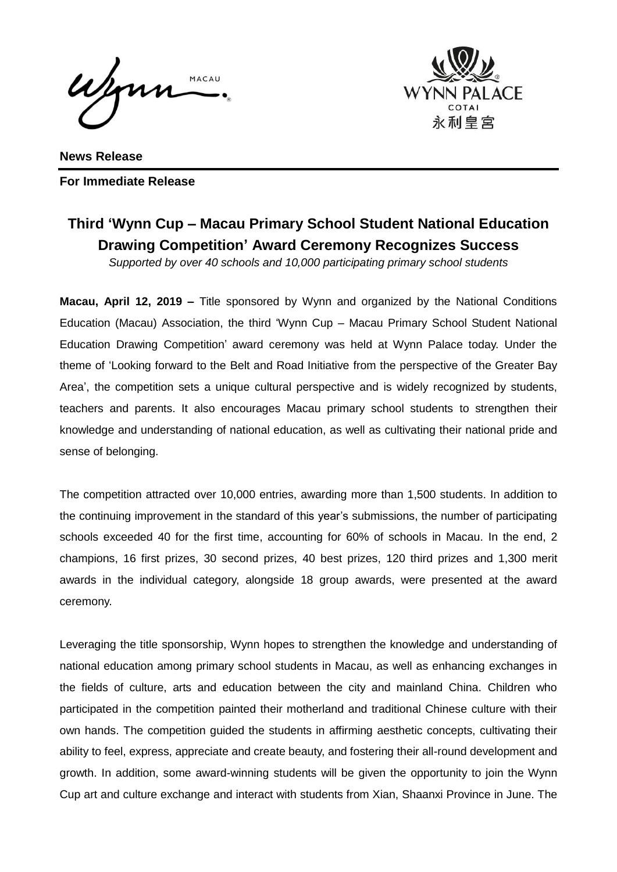Wynn MACAU



**News Release For Immediate Release**

## **Third 'Wynn Cup – Macau Primary School Student National Education Drawing Competition' Award Ceremony Recognizes Success**

*Supported by over 40 schools and 10,000 participating primary school students* 

**Macau, April 12, 2019 –** Title sponsored by Wynn and organized by the National Conditions Education (Macau) Association, the third 'Wynn Cup – Macau Primary School Student National Education Drawing Competition' award ceremony was held at Wynn Palace today. Under the theme of 'Looking forward to the Belt and Road Initiative from the perspective of the Greater Bay Area', the competition sets a unique cultural perspective and is widely recognized by students, teachers and parents. It also encourages Macau primary school students to strengthen their knowledge and understanding of national education, as well as cultivating their national pride and sense of belonging.

The competition attracted over 10,000 entries, awarding more than 1,500 students. In addition to the continuing improvement in the standard of this year's submissions, the number of participating schools exceeded 40 for the first time, accounting for 60% of schools in Macau. In the end, 2 champions, 16 first prizes, 30 second prizes, 40 best prizes, 120 third prizes and 1,300 merit awards in the individual category, alongside 18 group awards, were presented at the award ceremony.

Leveraging the title sponsorship, Wynn hopes to strengthen the knowledge and understanding of national education among primary school students in Macau, as well as enhancing exchanges in the fields of culture, arts and education between the city and mainland China. Children who participated in the competition painted their motherland and traditional Chinese culture with their own hands. The competition guided the students in affirming aesthetic concepts, cultivating their ability to feel, express, appreciate and create beauty, and fostering their all-round development and growth. In addition, some award-winning students will be given the opportunity to join the Wynn Cup art and culture exchange and interact with students from Xian, Shaanxi Province in June. The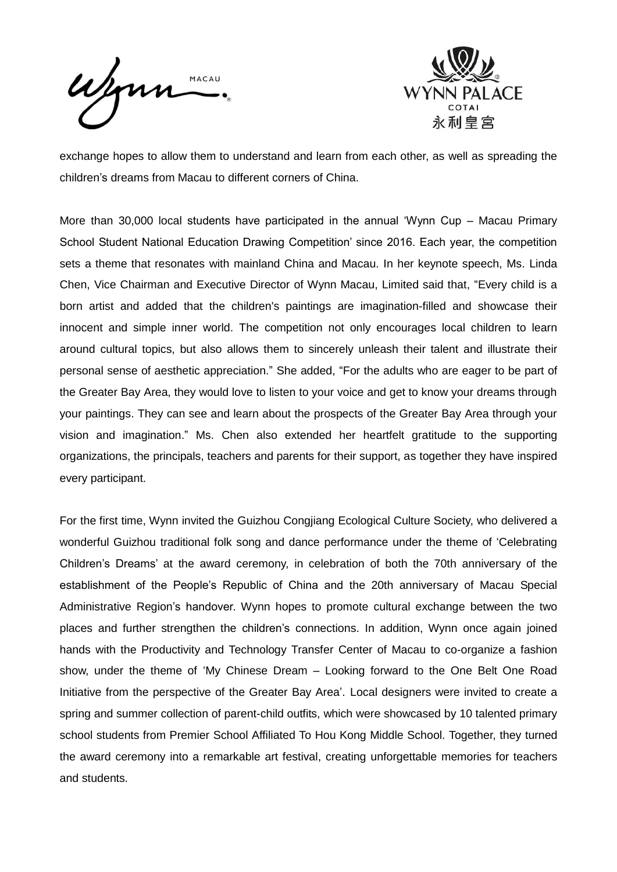Wynn MACAU



exchange hopes to allow them to understand and learn from each other, as well as spreading the children's dreams from Macau to different corners of China.

More than 30,000 local students have participated in the annual 'Wynn Cup – Macau Primary School Student National Education Drawing Competition' since 2016. Each year, the competition sets a theme that resonates with mainland China and Macau. In her keynote speech, Ms. Linda Chen, Vice Chairman and Executive Director of Wynn Macau, Limited said that, "Every child is a born artist and added that the children's paintings are imagination-filled and showcase their innocent and simple inner world. The competition not only encourages local children to learn around cultural topics, but also allows them to sincerely unleash their talent and illustrate their personal sense of aesthetic appreciation." She added, "For the adults who are eager to be part of the Greater Bay Area, they would love to listen to your voice and get to know your dreams through your paintings. They can see and learn about the prospects of the Greater Bay Area through your vision and imagination." Ms. Chen also extended her heartfelt gratitude to the supporting organizations, the principals, teachers and parents for their support, as together they have inspired every participant.

For the first time, Wynn invited the Guizhou Congjiang Ecological Culture Society, who delivered a wonderful Guizhou traditional folk song and dance performance under the theme of 'Celebrating Children's Dreams' at the award ceremony, in celebration of both the 70th anniversary of the establishment of the People's Republic of China and the 20th anniversary of Macau Special Administrative Region's handover. Wynn hopes to promote cultural exchange between the two places and further strengthen the children's connections. In addition, Wynn once again joined hands with the Productivity and Technology Transfer Center of Macau to co-organize a fashion show, under the theme of 'My Chinese Dream – Looking forward to the One Belt One Road Initiative from the perspective of the Greater Bay Area'. Local designers were invited to create a spring and summer collection of parent-child outfits, which were showcased by 10 talented primary school students from Premier School Affiliated To Hou Kong Middle School. Together, they turned the award ceremony into a remarkable art festival, creating unforgettable memories for teachers and students.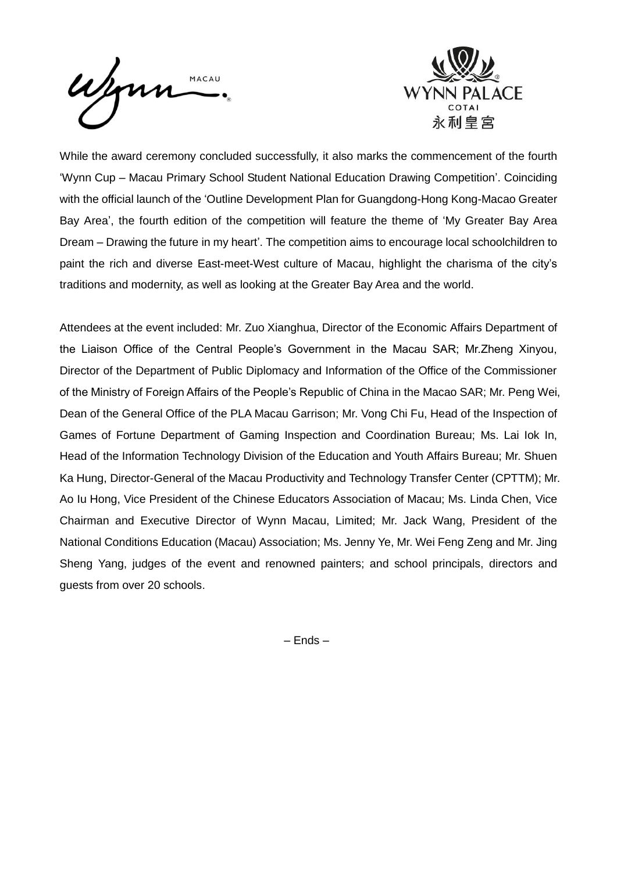Wynn MACAU



While the award ceremony concluded successfully, it also marks the commencement of the fourth 'Wynn Cup – Macau Primary School Student National Education Drawing Competition'. Coinciding with the official launch of the 'Outline Development Plan for Guangdong-Hong Kong-Macao Greater Bay Area', the fourth edition of the competition will feature the theme of 'My Greater Bay Area Dream – Drawing the future in my heart'. The competition aims to encourage local schoolchildren to paint the rich and diverse East-meet-West culture of Macau, highlight the charisma of the city's traditions and modernity, as well as looking at the Greater Bay Area and the world.

Attendees at the event included: Mr. Zuo Xianghua, Director of the Economic Affairs Department of the Liaison Office of the Central People's Government in the Macau SAR; Mr.Zheng Xinyou, Director of the Department of Public Diplomacy and Information of the Office of the Commissioner of the Ministry of Foreign Affairs of the People's Republic of China in the Macao SAR; Mr. Peng Wei, Dean of the General Office of the PLA Macau Garrison; Mr. Vong Chi Fu, Head of the Inspection of Games of Fortune Department of Gaming Inspection and Coordination Bureau; Ms. Lai Iok In, Head of the Information Technology Division of the Education and Youth Affairs Bureau; Mr. Shuen Ka Hung, Director-General of the Macau Productivity and Technology Transfer Center (CPTTM); Mr. Ao Iu Hong, Vice President of the Chinese Educators Association of Macau; Ms. Linda Chen, Vice Chairman and Executive Director of Wynn Macau, Limited; Mr. Jack Wang, President of the National Conditions Education (Macau) Association; Ms. Jenny Ye, Mr. Wei Feng Zeng and Mr. Jing Sheng Yang, judges of the event and renowned painters; and school principals, directors and guests from over 20 schools.

– Ends –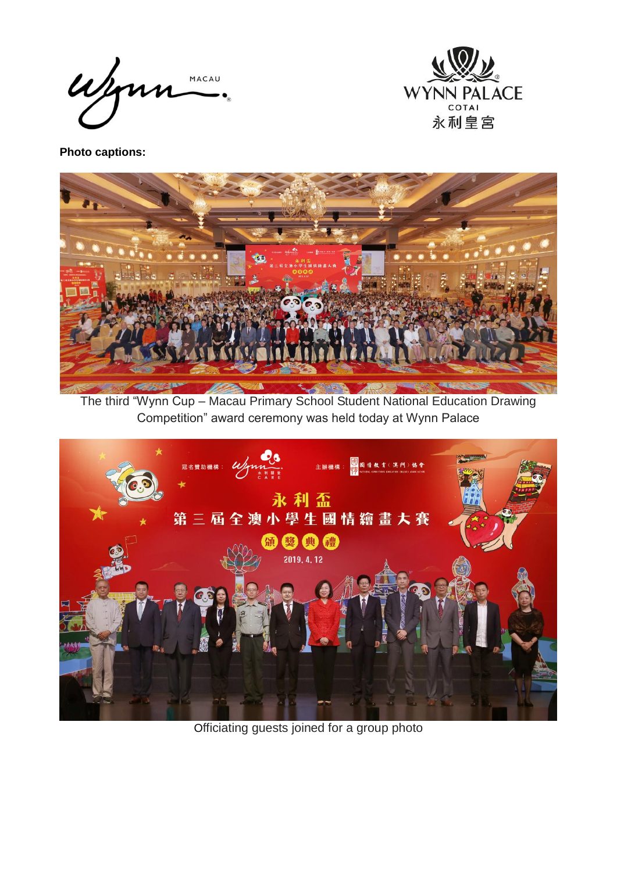Wynn MACAU



**Photo captions:**



The third "Wynn Cup – Macau Primary School Student National Education Drawing Competition" award ceremony was held today at Wynn Palace



Officiating guests joined for a group photo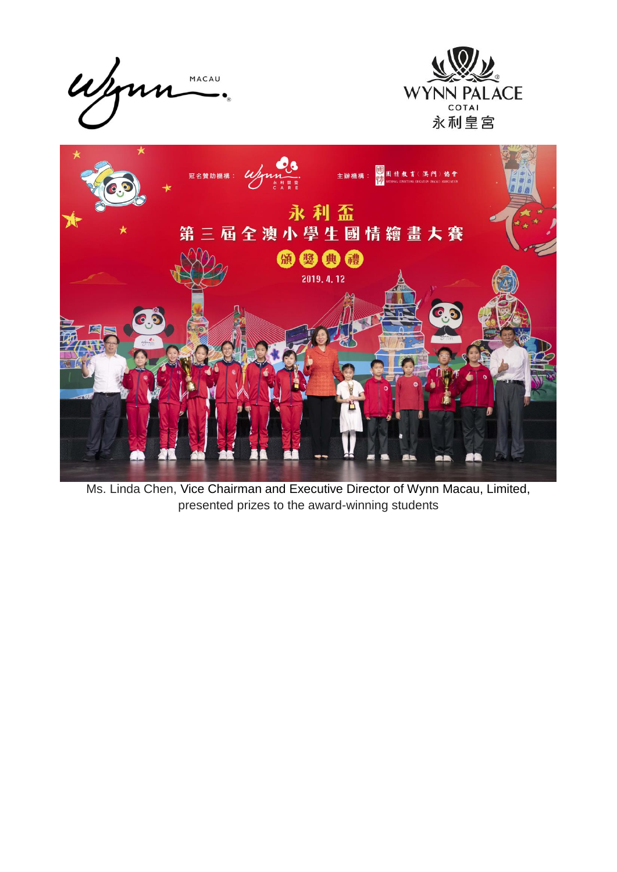

Ms. Linda Chen, Vice Chairman and Executive Director of Wynn Macau, Limited, presented prizes to the award-winning students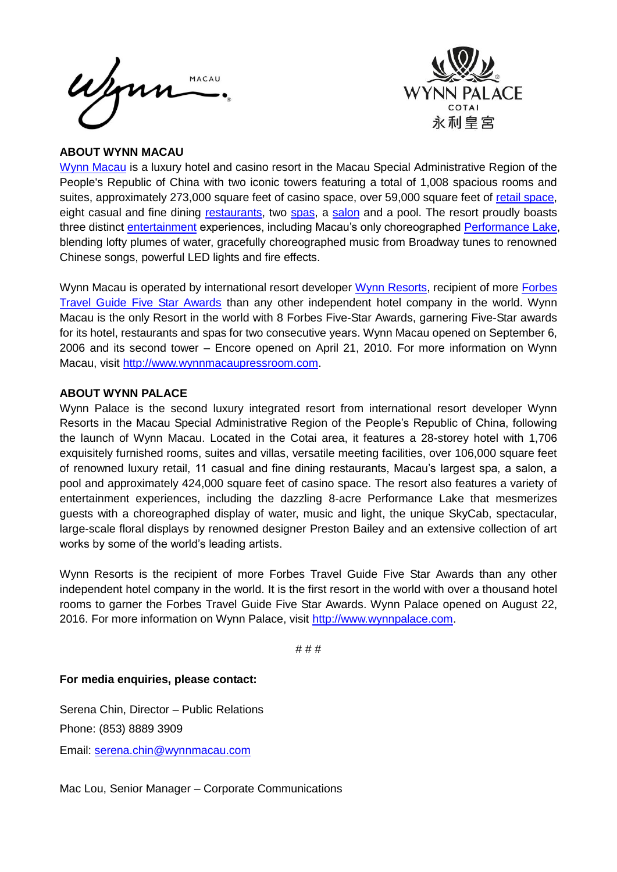



## **ABOUT WYNN MACAU**

[Wynn Macau](http://www.wynnmacau.com/) is a luxury hotel and casino resort in the Macau Special Administrative Region of the People's Republic of China with two iconic towers featuring a total of 1,008 spacious rooms and suites, approximately 273,000 square feet of casino space, over 59,000 square feet of [retail space,](http://www.wynnmacau.com/en/shops) eight casual and fine dining [restaurants,](http://www.wynnmacau.com/en/restaurants-n-bars) two [spas,](http://www.wynnmacau.com/en/facilities-n-spas) a [salon](http://www.wynnmacau.com/en/facilities-n-spas/the-salon) and a pool. The resort proudly boasts three distinct [entertainment](http://www.wynnmacau.com/en/shows) experiences, including Macau's only choreographed [Performance Lake,](http://www.wynnmacau.com/en/shows/performance-lake) blending lofty plumes of water, gracefully choreographed music from Broadway tunes to renowned Chinese songs, powerful LED lights and fire effects.

Wynn Macau is operated by international resort developer [Wynn Resorts,](http://www.wynnresorts.com/) recipient of more Forbes [Travel Guide Five Star Awards](http://www.forbestravelguide.com/about/awardwinners) than any other independent hotel company in the world. Wynn Macau is the only Resort in the world with 8 Forbes Five-Star Awards, garnering Five-Star awards for its hotel, restaurants and spas for two consecutive years. Wynn Macau opened on September 6, 2006 and its second tower – Encore opened on April 21, 2010. For more information on Wynn Macau, visit [http://www.wynnmacaupressroom.com.](http://www.wynnmacaupressroom.com/)

## **ABOUT WYNN PALACE**

Wynn Palace is the second luxury integrated resort from international resort developer Wynn Resorts in the Macau Special Administrative Region of the People's Republic of China, following the launch of Wynn Macau. Located in the Cotai area, it features a 28-storey hotel with 1,706 exquisitely furnished rooms, suites and villas, versatile meeting facilities, over 106,000 square feet of renowned luxury retail, 11 casual and fine dining restaurants, Macau's largest spa, a salon, a pool and approximately 424,000 square feet of casino space. The resort also features a variety of entertainment experiences, including the dazzling 8-acre Performance Lake that mesmerizes guests with a choreographed display of water, music and light, the unique SkyCab, spectacular, large-scale floral displays by renowned designer Preston Bailey and an extensive collection of art works by some of the world's leading artists.

Wynn Resorts is the recipient of more Forbes Travel Guide Five Star Awards than any other independent hotel company in the world. It is the first resort in the world with over a thousand hotel rooms to garner the Forbes Travel Guide Five Star Awards. Wynn Palace opened on August 22, 2016. For more information on Wynn Palace, visit [http://www.wynnpalace.com.](http://www.wynnpalace.com/)

# # #

**For media enquiries, please contact:**

Serena Chin, Director – Public Relations Phone: (853) 8889 3909

Email: [serena.chin@wynnmacau.com](mailto:serena.chin@wynnmacau.com)

Mac Lou, Senior Manager – Corporate Communications